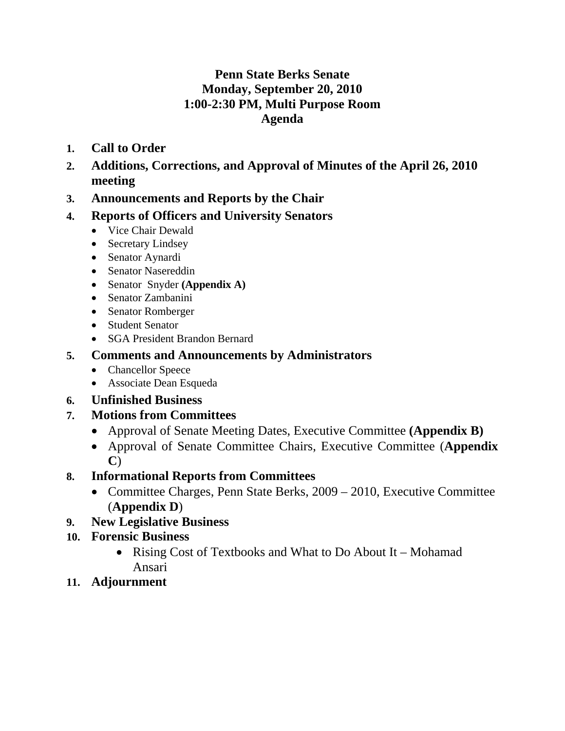# **Penn State Berks Senate Monday, September 20, 2010 1:00-2:30 PM, Multi Purpose Room Agenda**

- **1. Call to Order**
- **2. Additions, Corrections, and Approval of Minutes of the April 26, 2010 meeting**
- **3. Announcements and Reports by the Chair**

# **4. Reports of Officers and University Senators**

- Vice Chair Dewald
- Secretary Lindsey
- Senator Aynardi
- Senator Nasereddin
- Senator Snyder **(Appendix A)**
- Senator Zambanini
- Senator Romberger
- Student Senator
- SGA President Brandon Bernard

# **5. Comments and Announcements by Administrators**

- Chancellor Speece
- Associate Dean Esqueda

# **6. Unfinished Business**

# **7. Motions from Committees**

- Approval of Senate Meeting Dates, Executive Committee **(Appendix B)**
- Approval of Senate Committee Chairs, Executive Committee (**Appendix C**)

# **8. Informational Reports from Committees**

• Committee Charges, Penn State Berks, 2009 – 2010, Executive Committee (**Appendix D**)

# **9. New Legislative Business**

# **10. Forensic Business**

- Rising Cost of Textbooks and What to Do About It Mohamad Ansari
- **11. Adjournment**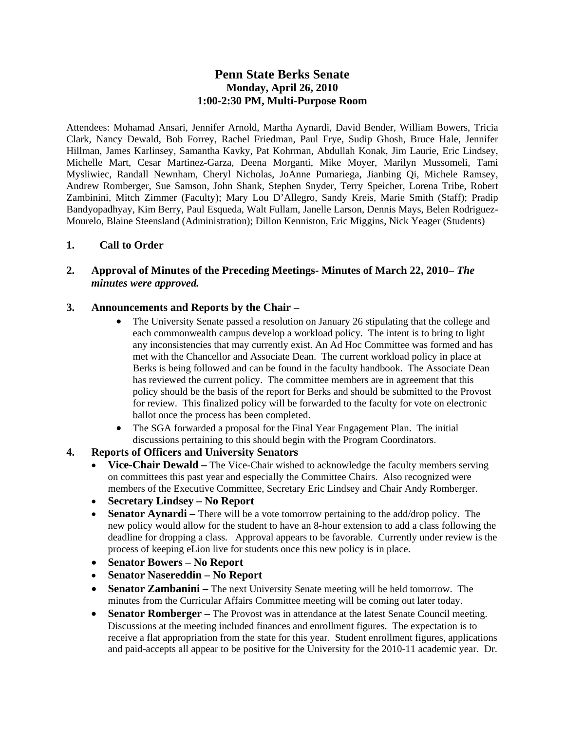### **Penn State Berks Senate Monday, April 26, 2010 1:00-2:30 PM, Multi-Purpose Room**

Attendees: Mohamad Ansari, Jennifer Arnold, Martha Aynardi, David Bender, William Bowers, Tricia Clark, Nancy Dewald, Bob Forrey, Rachel Friedman, Paul Frye, Sudip Ghosh, Bruce Hale, Jennifer Hillman, James Karlinsey, Samantha Kavky, Pat Kohrman, Abdullah Konak, Jim Laurie, Eric Lindsey, Michelle Mart, Cesar Martinez-Garza, Deena Morganti, Mike Moyer, Marilyn Mussomeli, Tami Mysliwiec, Randall Newnham, Cheryl Nicholas, JoAnne Pumariega, Jianbing Qi, Michele Ramsey, Andrew Romberger, Sue Samson, John Shank, Stephen Snyder, Terry Speicher, Lorena Tribe, Robert Zambinini, Mitch Zimmer (Faculty); Mary Lou D'Allegro, Sandy Kreis, Marie Smith (Staff); Pradip Bandyopadhyay, Kim Berry, Paul Esqueda, Walt Fullam, Janelle Larson, Dennis Mays, Belen Rodriguez-Mourelo, Blaine Steensland (Administration); Dillon Kenniston, Eric Miggins, Nick Yeager (Students)

### **1. Call to Order**

### **2. Approval of Minutes of the Preceding Meetings- Minutes of March 22, 2010–** *The minutes were approved.*

### **3. Announcements and Reports by the Chair –**

- The University Senate passed a resolution on January 26 stipulating that the college and each commonwealth campus develop a workload policy. The intent is to bring to light any inconsistencies that may currently exist. An Ad Hoc Committee was formed and has met with the Chancellor and Associate Dean. The current workload policy in place at Berks is being followed and can be found in the faculty handbook. The Associate Dean has reviewed the current policy. The committee members are in agreement that this policy should be the basis of the report for Berks and should be submitted to the Provost for review. This finalized policy will be forwarded to the faculty for vote on electronic ballot once the process has been completed.
- The SGA forwarded a proposal for the Final Year Engagement Plan. The initial discussions pertaining to this should begin with the Program Coordinators.

### **4. Reports of Officers and University Senators**

- Vice-Chair Dewald The Vice-Chair wished to acknowledge the faculty members serving on committees this past year and especially the Committee Chairs. Also recognized were members of the Executive Committee, Secretary Eric Lindsey and Chair Andy Romberger.
- **Secretary Lindsey No Report**
- **Senator Aynardi** There will be a vote tomorrow pertaining to the add/drop policy. The new policy would allow for the student to have an 8-hour extension to add a class following the deadline for dropping a class. Approval appears to be favorable. Currently under review is the process of keeping eLion live for students once this new policy is in place.
- **Senator Bowers No Report**
- **Senator Nasereddin No Report**
- **Senator Zambanini** The next University Senate meeting will be held tomorrow. The minutes from the Curricular Affairs Committee meeting will be coming out later today.
- **Senator Romberger** The Provost was in attendance at the latest Senate Council meeting. Discussions at the meeting included finances and enrollment figures. The expectation is to receive a flat appropriation from the state for this year. Student enrollment figures, applications and paid-accepts all appear to be positive for the University for the 2010-11 academic year. Dr.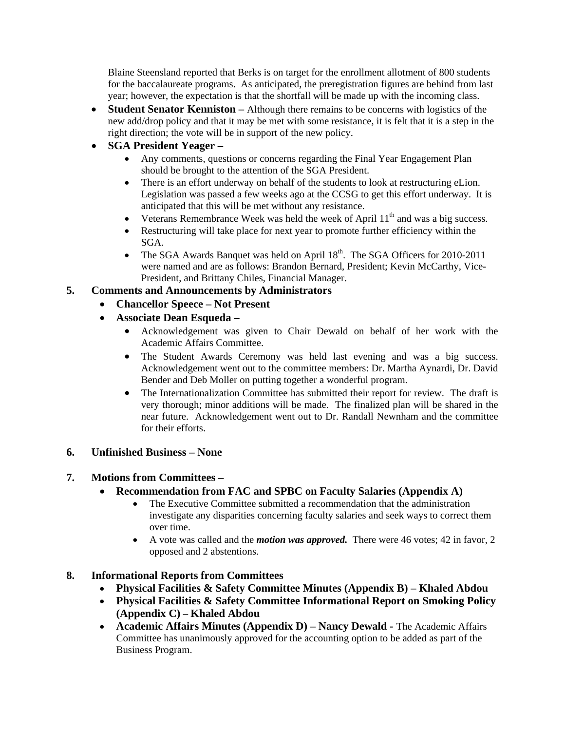Blaine Steensland reported that Berks is on target for the enrollment allotment of 800 students for the baccalaureate programs. As anticipated, the preregistration figures are behind from last year; however, the expectation is that the shortfall will be made up with the incoming class.

- **Student Senator Kenniston** Although there remains to be concerns with logistics of the new add/drop policy and that it may be met with some resistance, it is felt that it is a step in the right direction; the vote will be in support of the new policy.
- **SGA President Yeager** 
	- Any comments, questions or concerns regarding the Final Year Engagement Plan should be brought to the attention of the SGA President.
	- There is an effort underway on behalf of the students to look at restructuring eLion. Legislation was passed a few weeks ago at the CCSG to get this effort underway. It is anticipated that this will be met without any resistance.
	- Veterans Remembrance Week was held the week of April  $11<sup>th</sup>$  and was a big success.
	- Restructuring will take place for next year to promote further efficiency within the SGA.
	- The SGA Awards Banquet was held on April  $18<sup>th</sup>$ . The SGA Officers for 2010-2011 were named and are as follows: Brandon Bernard, President; Kevin McCarthy, Vice-President, and Brittany Chiles, Financial Manager.

#### **5. Comments and Announcements by Administrators**

- **Chancellor Speece Not Present**
- **Associate Dean Esqueda** 
	- Acknowledgement was given to Chair Dewald on behalf of her work with the Academic Affairs Committee.
	- The Student Awards Ceremony was held last evening and was a big success. Acknowledgement went out to the committee members: Dr. Martha Aynardi, Dr. David Bender and Deb Moller on putting together a wonderful program.
	- The Internationalization Committee has submitted their report for review. The draft is very thorough; minor additions will be made. The finalized plan will be shared in the near future. Acknowledgement went out to Dr. Randall Newnham and the committee for their efforts.

#### **6. Unfinished Business – None**

### **7. Motions from Committees –**

- **Recommendation from FAC and SPBC on Faculty Salaries (Appendix A)** 
	- The Executive Committee submitted a recommendation that the administration investigate any disparities concerning faculty salaries and seek ways to correct them over time.
	- A vote was called and the *motion was approved.* There were 46 votes; 42 in favor, 2 opposed and 2 abstentions.

### **8. Informational Reports from Committees**

- **Physical Facilities & Safety Committee Minutes (Appendix B) Khaled Abdou**
- **Physical Facilities & Safety Committee Informational Report on Smoking Policy (Appendix C) – Khaled Abdou**
- **Academic Affairs Minutes (Appendix D) Nancy Dewald The Academic Affairs** Committee has unanimously approved for the accounting option to be added as part of the Business Program.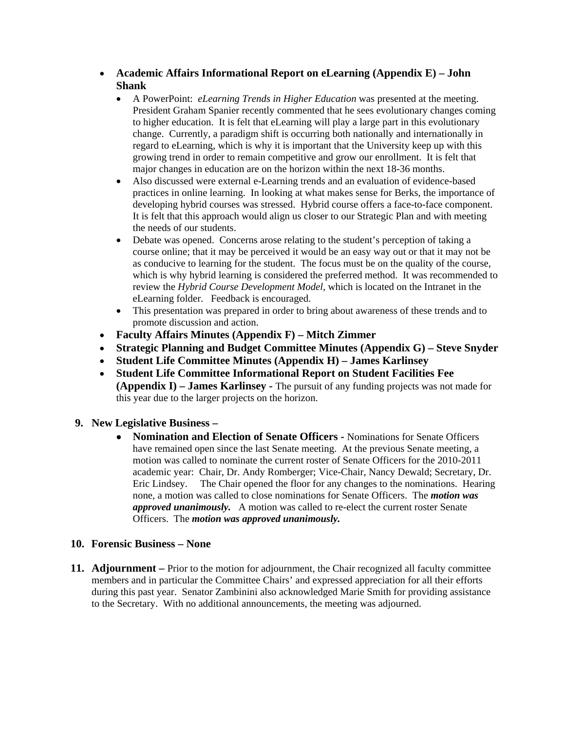- **Academic Affairs Informational Report on eLearning (Appendix E) John Shank**
	- A PowerPoint: *eLearning Trends in Higher Education* was presented at the meeting. President Graham Spanier recently commented that he sees evolutionary changes coming to higher education. It is felt that eLearning will play a large part in this evolutionary change. Currently, a paradigm shift is occurring both nationally and internationally in regard to eLearning, which is why it is important that the University keep up with this growing trend in order to remain competitive and grow our enrollment. It is felt that major changes in education are on the horizon within the next 18-36 months.
	- Also discussed were external e-Learning trends and an evaluation of evidence-based practices in online learning. In looking at what makes sense for Berks, the importance of developing hybrid courses was stressed. Hybrid course offers a face-to-face component. It is felt that this approach would align us closer to our Strategic Plan and with meeting the needs of our students.
	- Debate was opened. Concerns arose relating to the student's perception of taking a course online; that it may be perceived it would be an easy way out or that it may not be as conducive to learning for the student. The focus must be on the quality of the course, which is why hybrid learning is considered the preferred method. It was recommended to review the *Hybrid Course Development Model,* which is located on the Intranet in the eLearning folder. Feedback is encouraged.
	- This presentation was prepared in order to bring about awareness of these trends and to promote discussion and action.
- **Faculty Affairs Minutes (Appendix F) Mitch Zimmer**
- **Strategic Planning and Budget Committee Minutes (Appendix G) Steve Snyder**
- **Student Life Committee Minutes (Appendix H) James Karlinsey**
- **Student Life Committee Informational Report on Student Facilities Fee (Appendix I) – James Karlinsey -** The pursuit of any funding projects was not made for this year due to the larger projects on the horizon.
- **9. New Legislative Business** 
	- **Nomination and Election of Senate Officers** Nominations for Senate Officers have remained open since the last Senate meeting. At the previous Senate meeting, a motion was called to nominate the current roster of Senate Officers for the 2010-2011 academic year: Chair, Dr. Andy Romberger; Vice-Chair, Nancy Dewald; Secretary, Dr. Eric Lindsey. The Chair opened the floor for any changes to the nominations. Hearing none, a motion was called to close nominations for Senate Officers. The *motion was approved unanimously.* A motion was called to re-elect the current roster Senate Officers. The *motion was approved unanimously.*

### **10. Forensic Business – None**

**11. Adjournment –** Prior to the motion for adjournment, the Chair recognized all faculty committee members and in particular the Committee Chairs' and expressed appreciation for all their efforts during this past year. Senator Zambinini also acknowledged Marie Smith for providing assistance to the Secretary. With no additional announcements, the meeting was adjourned.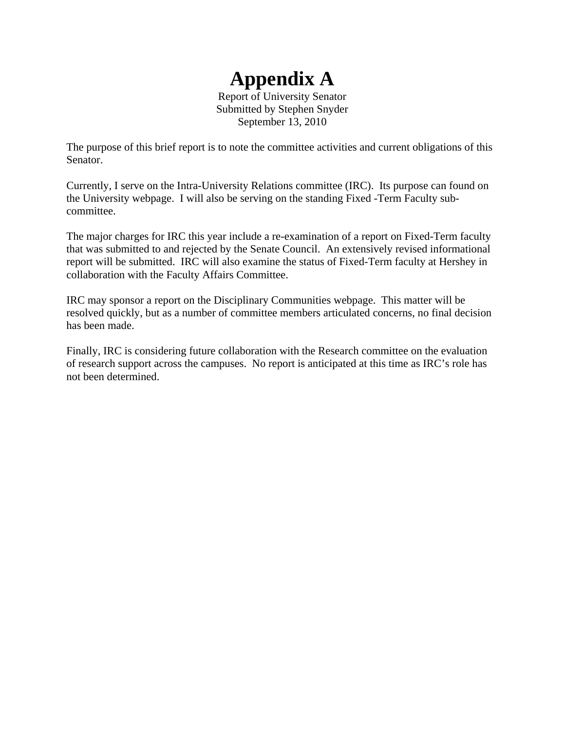# **Appendix A**

Report of University Senator Submitted by Stephen Snyder September 13, 2010

The purpose of this brief report is to note the committee activities and current obligations of this Senator.

Currently, I serve on the Intra-University Relations committee (IRC). Its purpose can found on the University webpage. I will also be serving on the standing Fixed -Term Faculty subcommittee.

The major charges for IRC this year include a re-examination of a report on Fixed-Term faculty that was submitted to and rejected by the Senate Council. An extensively revised informational report will be submitted. IRC will also examine the status of Fixed-Term faculty at Hershey in collaboration with the Faculty Affairs Committee.

IRC may sponsor a report on the Disciplinary Communities webpage. This matter will be resolved quickly, but as a number of committee members articulated concerns, no final decision has been made.

Finally, IRC is considering future collaboration with the Research committee on the evaluation of research support across the campuses. No report is anticipated at this time as IRC's role has not been determined.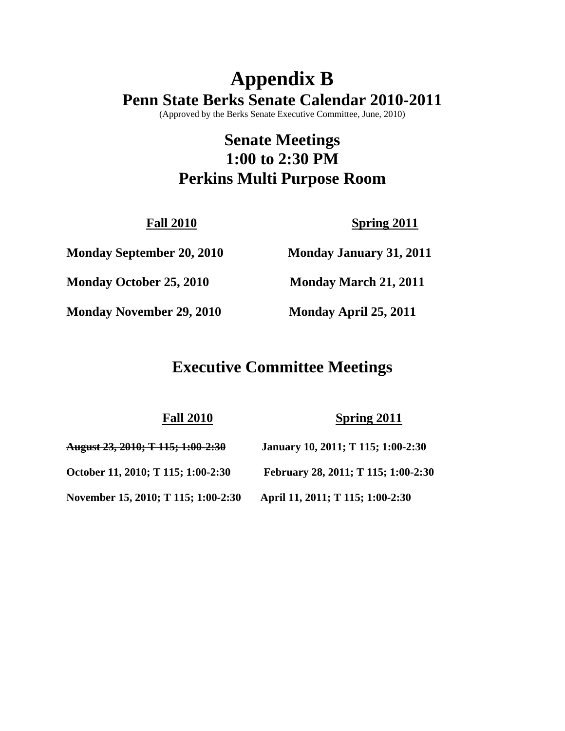# **Appendix B Penn State Berks Senate Calendar 2010-2011**

(Approved by the Berks Senate Executive Committee, June, 2010)

# **Senate Meetings 1:00 to 2:30 PM Perkins Multi Purpose Room**

**Fall 2010** Spring 2011

**Monday September 20, 2010 Monday January 31, 2011** 

**Monday October 25, 2010 Monday March 21, 2011** 

**Monday November 29, 2010 Monday April 25, 2011**

# **Executive Committee Meetings**

**Fall 2010 Spring 2011**

| August 23, 2010; T 115; 1:00-2:30   | January 10, 2011; T 115; 1:00-2:30  |
|-------------------------------------|-------------------------------------|
| October 11, 2010; T 115; 1:00-2:30  | February 28, 2011; T 115; 1:00-2:30 |
| November 15, 2010; T 115; 1:00-2:30 | April 11, 2011; T 115; 1:00-2:30    |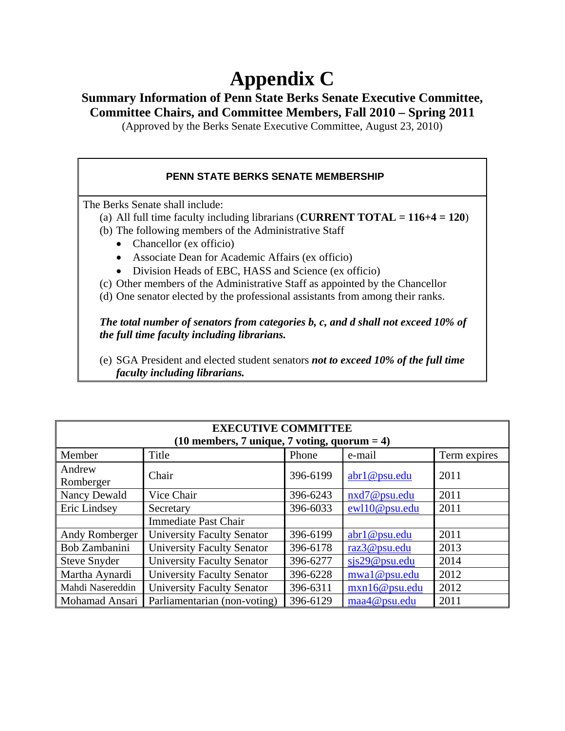# **Appendix C**

# **Summary Information of Penn State Berks Senate Executive Committee, Committee Chairs, and Committee Members, Fall 2010 – Spring 2011**

(Approved by the Berks Senate Executive Committee, August 23, 2010)

# **PENN STATE BERKS SENATE MEMBERSHIP**

The Berks Senate shall include:

- (a) All full time faculty including librarians (**CURRENT TOTAL = 116+4 = 120**)
- (b) The following members of the Administrative Staff
	- Chancellor (ex officio)
	- Associate Dean for Academic Affairs (ex officio)
	- Division Heads of EBC, HASS and Science (ex officio)
- (c) Other members of the Administrative Staff as appointed by the Chancellor
- (d) One senator elected by the professional assistants from among their ranks.

*The total number of senators from categories b, c, and d shall not exceed 10% of the full time faculty including librarians.* 

(e) SGA President and elected student senators *not to exceed 10% of the full time faculty including librarians.*

| <b>EXECUTIVE COMMITTEE</b><br>$(10$ members, 7 unique, 7 voting, quorum = 4) |                                   |          |               |              |
|------------------------------------------------------------------------------|-----------------------------------|----------|---------------|--------------|
| Member                                                                       | Title                             | Phone    | e-mail        | Term expires |
| Andrew<br>Romberger                                                          | Chair                             | 396-6199 | abr1@psu.edu  | 2011         |
| Nancy Dewald                                                                 | Vice Chair                        | 396-6243 | nxd7@psu.edu  | 2011         |
| Eric Lindsey                                                                 | Secretary                         | 396-6033 | ewl10@psu.edu | 2011         |
|                                                                              | <b>Immediate Past Chair</b>       |          |               |              |
| Andy Romberger                                                               | <b>University Faculty Senator</b> | 396-6199 | abr1@psu.edu  | 2011         |
| Bob Zambanini                                                                | <b>University Faculty Senator</b> | 396-6178 | raz3@psu.edu  | 2013         |
| <b>Steve Snyder</b>                                                          | <b>University Faculty Senator</b> | 396-6277 | sis29@psu.edu | 2014         |
| Martha Aynardi                                                               | <b>University Faculty Senator</b> | 396-6228 | mwal@psu.edu  | 2012         |
| Mahdi Nasereddin                                                             | <b>University Faculty Senator</b> | 396-6311 | mxn16@psu.edu | 2012         |
| Mohamad Ansari                                                               | Parliamentarian (non-voting)      | 396-6129 | maa4@psu.edu  | 2011         |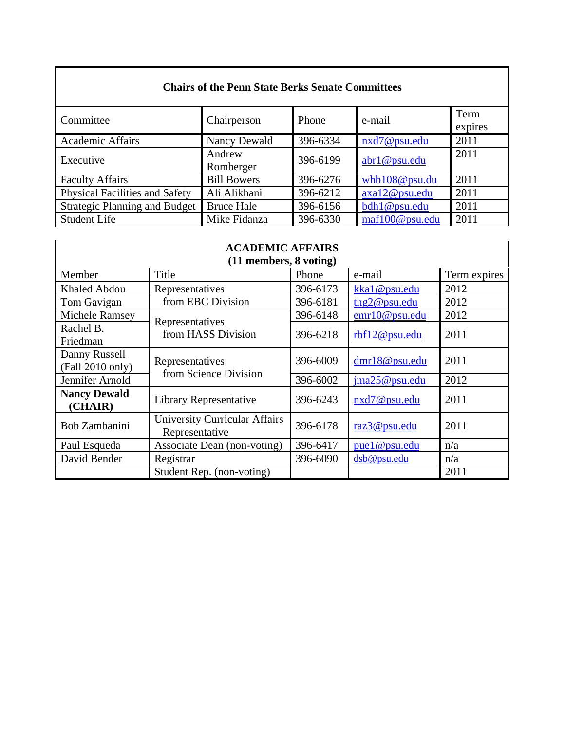| <b>Chairs of the Penn State Berks Senate Committees</b> |                     |          |                |                 |
|---------------------------------------------------------|---------------------|----------|----------------|-----------------|
| Committee                                               | Chairperson         | Phone    | e-mail         | Term<br>expires |
| <b>Academic Affairs</b>                                 | Nancy Dewald        | 396-6334 | nxd7@psu.edu   | 2011            |
| Executive                                               | Andrew<br>Romberger | 396-6199 | abr1@psu.edu   | 2011            |
| <b>Faculty Affairs</b>                                  | <b>Bill Bowers</b>  | 396-6276 | whb108@psu.du  | 2011            |
| <b>Physical Facilities and Safety</b>                   | Ali Alikhani        | 396-6212 | axa12@psu.edu  | 2011            |
| <b>Strategic Planning and Budget</b>                    | <b>Bruce Hale</b>   | 396-6156 | bdh1@psu.edu   | 2011            |
| <b>Student Life</b>                                     | Mike Fidanza        | 396-6330 | maf100@psu.edu | 2011            |

| <b>ACADEMIC AFFAIRS</b> |                                                        |          |               |              |  |  |
|-------------------------|--------------------------------------------------------|----------|---------------|--------------|--|--|
|                         | $(11$ members, $8$ voting)                             |          |               |              |  |  |
| Member                  | Title                                                  | Phone    | e-mail        | Term expires |  |  |
| <b>Khaled Abdou</b>     | Representatives                                        | 396-6173 | kka1@psu.edu  | 2012         |  |  |
| Tom Gavigan             | from EBC Division                                      | 396-6181 | thg2@psu.edu  | 2012         |  |  |
| Michele Ramsey          |                                                        | 396-6148 | emr10@psu.edu | 2012         |  |  |
| Rachel B.               | Representatives<br>from HASS Division                  | 396-6218 |               | 2011         |  |  |
| Friedman                |                                                        |          | rbf12@psu.edu |              |  |  |
| Danny Russell           | Representatives                                        | 396-6009 |               | 2011         |  |  |
| (Fall 2010 only)        | from Science Division                                  |          | dmr18@psu.edu |              |  |  |
| Jennifer Arnold         |                                                        | 396-6002 | ima25@psu.edu | 2012         |  |  |
| <b>Nancy Dewald</b>     | Library Representative                                 | 396-6243 | nxd7@psu.edu  | 2011         |  |  |
| (CHAIR)                 |                                                        |          |               |              |  |  |
| Bob Zambanini           | <b>University Curricular Affairs</b><br>Representative | 396-6178 | raz3@psu.edu  | 2011         |  |  |
| Paul Esqueda            | Associate Dean (non-voting)                            | 396-6417 | puel@psu.edu  | n/a          |  |  |
| David Bender            | Registrar                                              | 396-6090 | dsb@psu.edu   | n/a          |  |  |
|                         | Student Rep. (non-voting)                              |          |               | 2011         |  |  |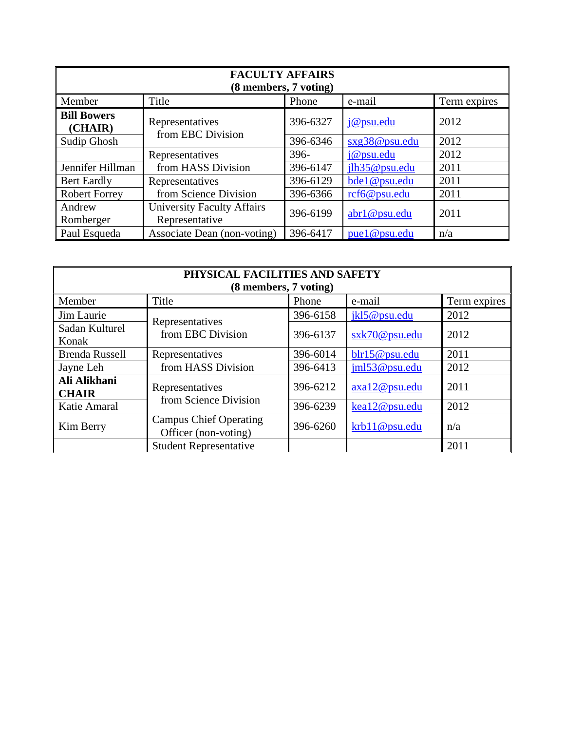| <b>FACULTY AFFAIRS</b><br>(8 members, 7 voting) |                                                     |          |               |              |  |
|-------------------------------------------------|-----------------------------------------------------|----------|---------------|--------------|--|
| Member                                          | Title                                               | Phone    | e-mail        | Term expires |  |
| <b>Bill Bowers</b><br>(CHAIR)                   | Representatives                                     | 396-6327 | j@psu.edu     | 2012         |  |
| Sudip Ghosh                                     | from EBC Division                                   | 396-6346 | sxg38@psu.edu | 2012         |  |
|                                                 | Representatives                                     | $396 -$  | j@psu.edu     | 2012         |  |
| Jennifer Hillman                                | from HASS Division                                  | 396-6147 | jlh35@psu.edu | 2011         |  |
| <b>Bert Eardly</b>                              | Representatives                                     | 396-6129 | bde1@psu.edu  | 2011         |  |
| <b>Robert Forrey</b>                            | from Science Division                               | 396-6366 | rcf6@psu.edu  | 2011         |  |
| Andrew<br>Romberger                             | <b>University Faculty Affairs</b><br>Representative | 396-6199 | abr1@psu.edu  | 2011         |  |
| Paul Esqueda                                    | Associate Dean (non-voting)                         | 396-6417 | pue 1@psu.edu | n/a          |  |

| PHYSICAL FACILITIES AND SAFETY<br>(8 members, 7 voting) |                                                       |          |                  |              |
|---------------------------------------------------------|-------------------------------------------------------|----------|------------------|--------------|
| Member                                                  | Title                                                 | Phone    | e-mail           | Term expires |
| Jim Laurie                                              | Representatives                                       | 396-6158 | jkl5@psu.edu     | 2012         |
| Sadan Kulturel<br>Konak                                 | from EBC Division                                     | 396-6137 | $s$ xk70@psu.edu | 2012         |
| <b>Brenda Russell</b>                                   | Representatives                                       | 396-6014 | blr15@psu.edu    | 2011         |
| Jayne Leh                                               | from HASS Division                                    | 396-6413 | jml53@psu.edu    | 2012         |
| Ali Alikhani<br><b>CHAIR</b>                            | Representatives<br>from Science Division              | 396-6212 | axa12@psu.edu    | 2011         |
| Katie Amaral                                            |                                                       | 396-6239 | kea12@psu.edu    | 2012         |
| Kim Berry                                               | <b>Campus Chief Operating</b><br>Officer (non-voting) | 396-6260 | krb11@psu.edu    | n/a          |
|                                                         | <b>Student Representative</b>                         |          |                  | 2011         |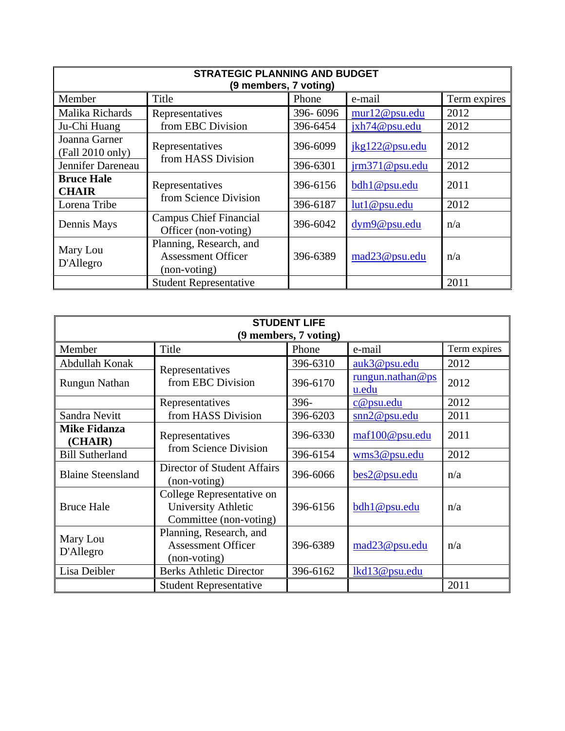| <b>STRATEGIC PLANNING AND BUDGET</b><br>(9 members, 7 voting) |                                                                      |          |                         |              |
|---------------------------------------------------------------|----------------------------------------------------------------------|----------|-------------------------|--------------|
| Member                                                        | Title                                                                | Phone    | e-mail                  | Term expires |
| Malika Richards                                               | Representatives                                                      | 396-6096 | mur12@psu.edu           | 2012         |
| Ju-Chi Huang                                                  | from EBC Division                                                    | 396-6454 | jxh74@psu.edu           | 2012         |
| Joanna Garner<br>(Fall 2010 only)                             | Representatives                                                      | 396-6099 | jkg122@psu.edu          | 2012         |
| Jennifer Dareneau                                             | from HASS Division                                                   | 396-6301 | $\text{irm371@psu.edu}$ | 2012         |
| <b>Bruce Hale</b><br><b>CHAIR</b>                             | Representatives<br>from Science Division                             | 396-6156 | bdh1@psu.edu            | 2011         |
| Lorena Tribe                                                  |                                                                      | 396-6187 | lut1@psu.edu            | 2012         |
| Dennis Mays                                                   | <b>Campus Chief Financial</b><br>Officer (non-voting)                | 396-6042 | dym9@psu.edu            | n/a          |
| Mary Lou<br>D'Allegro                                         | Planning, Research, and<br><b>Assessment Officer</b><br>(non-voting) | 396-6389 | mad23@psu.edu           | n/a          |
|                                                               | <b>Student Representative</b>                                        |          |                         | 2011         |

| <b>STUDENT LIFE</b><br>(9 members, 7 voting) |                                                                            |          |                           |              |
|----------------------------------------------|----------------------------------------------------------------------------|----------|---------------------------|--------------|
| Member                                       | Title                                                                      | Phone    | e-mail                    | Term expires |
| Abdullah Konak                               |                                                                            | 396-6310 | auk3@psu.edu              | 2012         |
| <b>Rungun Nathan</b>                         | Representatives<br>from EBC Division                                       | 396-6170 | rungun.nathan@ps<br>u.edu | 2012         |
|                                              | Representatives                                                            | 396-     | c@psu.edu                 | 2012         |
| Sandra Nevitt                                | from HASS Division                                                         | 396-6203 | snn2@psu.edu              | 2011         |
| <b>Mike Fidanza</b><br>(CHAIR)               | Representatives<br>from Science Division                                   | 396-6330 | maf100@psu.edu            | 2011         |
| <b>Bill Sutherland</b>                       |                                                                            | 396-6154 | wms3@psu.edu              | 2012         |
| <b>Blaine Steensland</b>                     | Director of Student Affairs<br>(non-voting)                                | 396-6066 | bes2@psu.edu              | n/a          |
| <b>Bruce Hale</b>                            | College Representative on<br>University Athletic<br>Committee (non-voting) | 396-6156 | bdh1@psu.edu              | n/a          |
| Mary Lou<br>D'Allegro                        | Planning, Research, and<br><b>Assessment Officer</b><br>(non-voting)       | 396-6389 | mad <sub>23@psu.edu</sub> | n/a          |
| Lisa Deibler                                 | <b>Berks Athletic Director</b>                                             | 396-6162 | lkd13@psu.edu             |              |
|                                              | <b>Student Representative</b>                                              |          |                           | 2011         |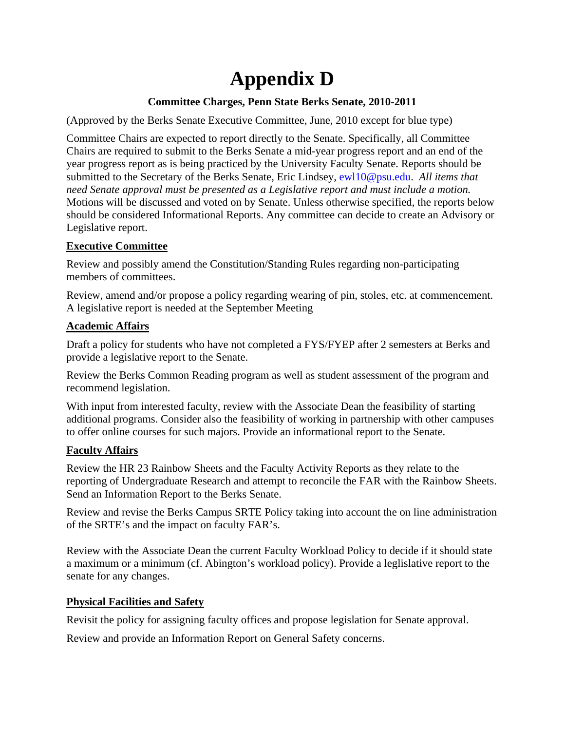# **Appendix D**

# **Committee Charges, Penn State Berks Senate, 2010-2011**

(Approved by the Berks Senate Executive Committee, June, 2010 except for blue type)

Committee Chairs are expected to report directly to the Senate. Specifically, all Committee Chairs are required to submit to the Berks Senate a mid-year progress report and an end of the year progress report as is being practiced by the University Faculty Senate. Reports should be submitted to the Secretary of the Berks Senate, Eric Lindsey, ewl10@psu.edu. *All items that need Senate approval must be presented as a Legislative report and must include a motion.*  Motions will be discussed and voted on by Senate. Unless otherwise specified, the reports below should be considered Informational Reports. Any committee can decide to create an Advisory or Legislative report.

# **Executive Committee**

Review and possibly amend the Constitution/Standing Rules regarding non-participating members of committees.

Review, amend and/or propose a policy regarding wearing of pin, stoles, etc. at commencement. A legislative report is needed at the September Meeting

### **Academic Affairs**

Draft a policy for students who have not completed a FYS/FYEP after 2 semesters at Berks and provide a legislative report to the Senate.

Review the Berks Common Reading program as well as student assessment of the program and recommend legislation.

With input from interested faculty, review with the Associate Dean the feasibility of starting additional programs. Consider also the feasibility of working in partnership with other campuses to offer online courses for such majors. Provide an informational report to the Senate.

# **Faculty Affairs**

Review the HR 23 Rainbow Sheets and the Faculty Activity Reports as they relate to the reporting of Undergraduate Research and attempt to reconcile the FAR with the Rainbow Sheets. Send an Information Report to the Berks Senate.

Review and revise the Berks Campus SRTE Policy taking into account the on line administration of the SRTE's and the impact on faculty FAR's.

Review with the Associate Dean the current Faculty Workload Policy to decide if it should state a maximum or a minimum (cf. Abington's workload policy). Provide a leglislative report to the senate for any changes.

# **Physical Facilities and Safety**

Revisit the policy for assigning faculty offices and propose legislation for Senate approval.

Review and provide an Information Report on General Safety concerns.